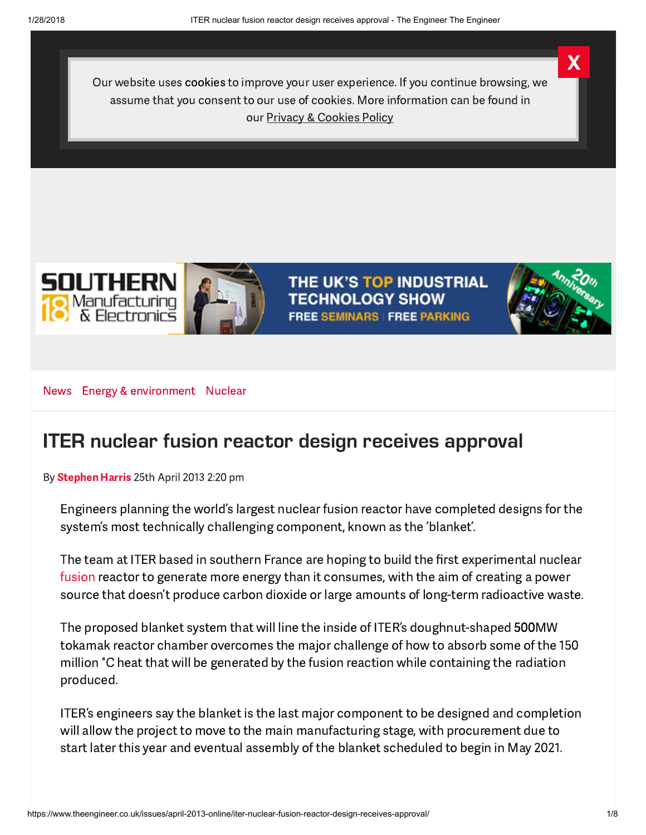Our website uses cookies to improve your user experience. If you continue browsing, we assume that you consent to our use of cookies. More information can be found in our Privacy & [Cookies](http://www.centaurmedia.com/privacy) Policy





THE UK'S TOP INDUSTRIAL **TECHNOLOGY SHOW FREE SEMINARS FREE PARKING** 



X

[News](https://www.theengineer.co.uk/news/) Energy & [environment](https://www.theengineer.co.uk/energy-and-environment/) [Nuclear](https://www.theengineer.co.uk/nuclear/)

## ITER [nuclear](https://adclick.g.doubleclick.net/pcs/click?xai=AKAOjsuY56du8GfUnI6Bmwwl6gTaxj3GuEWdzmTxZUWlH7ToQsQ73ij6VexGtFFt1oNgokmABbGUbBBHMJ1uLIFFXKVZ_wNI9aIG1cy0CDoeTzi8KyRFz3Xl4rzm1eEy78O6emNCH4xUzdF8nXfsVAUjXd-ktGVAGfe6otwy7MZDvTiRAGJZdUadQlLJlYr7Tx9jr8e20yopHRgcUfnSJZUN3-cHrpQwplVrY9IRB-ME4CosWF9uWr9u8q5WYwQk9TnQKpjP95DibAWJlkHOO9d0npeFCJk8Hcg&sig=Cg0ArKJSzIxx5n3ITwY7EAE&urlfix=1&adurl=https://www.afsrglobal.net/) fusion reactor design receives [approval](https://adclick.g.doubleclick.net/pcs/click?xai=AKAOjsuY56du8GfUnI6Bmwwl6gTaxj3GuEWdzmTxZUWlH7ToQsQ73ij6VexGtFFt1oNgokmABbGUbBBHMJ1uLIFFXKVZ_wNI9aIG1cy0CDoeTzi8KyRFz3Xl4rzm1eEy78O6emNCH4xUzdF8nXfsVAUjXd-ktGVAGfe6otwy7MZDvTiRAGJZdUadQlLJlYr7Tx9jr8e20yopHRgcUfnSJZUN3-cHrpQwplVrY9IRB-ME4CosWF9uWr9u8q5WYwQk9TnQKpjP95DibAWJlkHOO9d0npeFCJk8Hcg&sig=Cg0ArKJSzIxx5n3ITwY7EAE&urlfix=1&adurl=https://www.afsrglobal.net/)

By [Stephen](https://www.theengineer.co.uk/author/harriss/) Harris 25th April 2013 2:20 pm

Engineers planning the world's largest nuclear fusion reactor have completed designs for the system's most technically challenging component, known as the 'blanket'.

The team at ITER based in southern France are hoping to build the first experimental nuclear [fusion](https://www.theengineer.co.uk/in-depth/the-big-story/nuclear-fusion-jet-and-iter-your-questions-answered/1014477.article) reactor to generate more energy than it consumes, with the aim of creating a power source that doesn't produce carbon dioxide or large amounts of long-term radioactive waste.

The proposed blanket system that will line the inside of ITER's doughnut-shaped 500MW tokamak reactor chamber overcomes the major challenge of how to absorb some of the 150 million °C heat that will be generated by the fusion reaction while containing the radiation produced.

ITER's engineers say the blanket is the last major component to be designed and completion will allow the project to move to the main manufacturing stage, with procurement due to start later this year and eventual assembly of the blanket scheduled to begin in May 2021.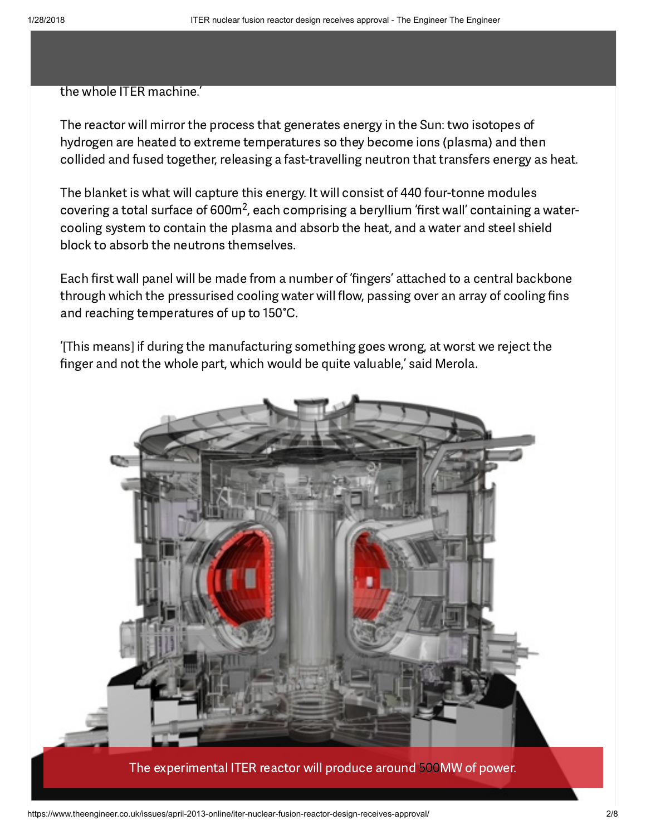#### the whole ITER machine.'

The reactor will mirror the process that generates energy in the Sun: two isotopes of hydrogen are heated to extreme temperatures so they become ions (plasma) and then collided and fused together, releasing a fast-travelling neutron that transfers energy as heat.

The blanket is what will capture this energy. It will consist of 440 four-tonne modules covering a total surface of 600m<sup>2</sup>, each comprising a beryllium 'first wall' containing a watercooling system to contain the plasma and absorb the heat, and a water and steel shield block to absorb the neutrons themselves.

Each first wall panel will be made from a number of 'fingers' attached to a central backbone through which the pressurised cooling water will flow, passing over an array of cooling fins and reaching [temperatures](https://adclick.g.doubleclick.net/pcs/click?xai=AKAOjsuY56du8GfUnI6Bmwwl6gTaxj3GuEWdzmTxZUWlH7ToQsQ73ij6VexGtFFt1oNgokmABbGUbBBHMJ1uLIFFXKVZ_wNI9aIG1cy0CDoeTzi8KyRFz3Xl4rzm1eEy78O6emNCH4xUzdF8nXfsVAUjXd-ktGVAGfe6otwy7MZDvTiRAGJZdUadQlLJlYr7Tx9jr8e20yopHRgcUfnSJZUN3-cHrpQwplVrY9IRB-ME4CosWF9uWr9u8q5WYwQk9TnQKpjP95DibAWJlkHOO9d0npeFCJk8Hcg&sig=Cg0ArKJSzIxx5n3ITwY7EAE&urlfix=1&adurl=https://www.afsrglobal.net/) of up to 150°C.

'[This means] if during the manufacturing something goes wrong, at worst we reject the finger and not the whole part, which would be quite valuable,' said Merola.

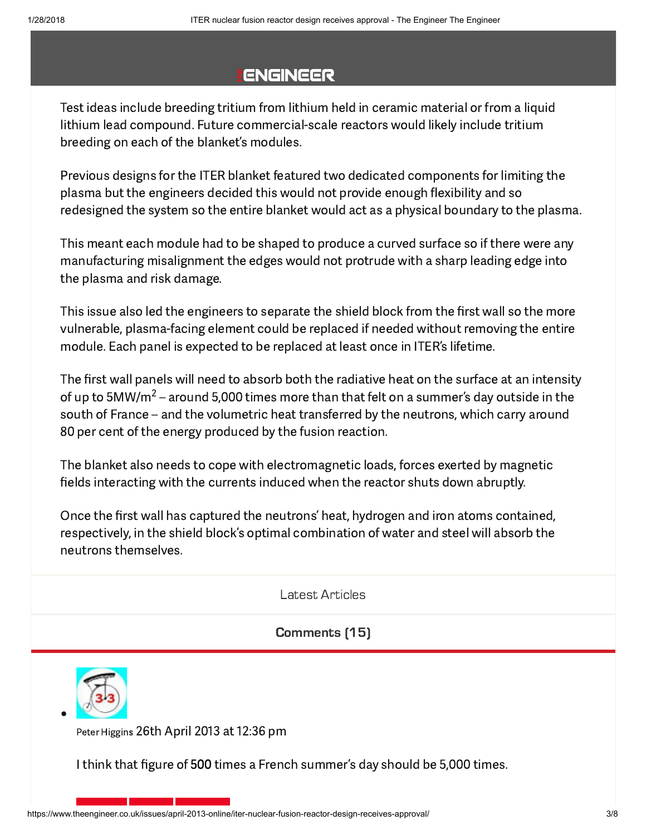# **ENGINEER**

Test ideas include breeding tritium from lithium held in ceramic material or from a liquid lithium lead compound. Future commercial-scale reactors would likely include tritium breeding on each of the blanket's modules.

Previous designs for the ITER blanket featured two dedicated components for limiting the plasma but the engineers decided this would not provide enough flexibility and so redesigned the system so the entire blanket would act as a physical boundary to the plasma.

This meant each module had to be shaped to produce a curved surface so if there were any [manufacturing](https://adclick.g.doubleclick.net/pcs/click?xai=AKAOjsuY56du8GfUnI6Bmwwl6gTaxj3GuEWdzmTxZUWlH7ToQsQ73ij6VexGtFFt1oNgokmABbGUbBBHMJ1uLIFFXKVZ_wNI9aIG1cy0CDoeTzi8KyRFz3Xl4rzm1eEy78O6emNCH4xUzdF8nXfsVAUjXd-ktGVAGfe6otwy7MZDvTiRAGJZdUadQlLJlYr7Tx9jr8e20yopHRgcUfnSJZUN3-cHrpQwplVrY9IRB-ME4CosWF9uWr9u8q5WYwQk9TnQKpjP95DibAWJlkHOO9d0npeFCJk8Hcg&sig=Cg0ArKJSzIxx5n3ITwY7EAE&urlfix=1&adurl=https://www.afsrglobal.net/) misalignment the edges would not protrude with a sharp leading edge into the plasma and risk damage.

This issue also led the engineers to separate the shield block from the first wall so the more vulnerable, plasma-facing element could be replaced if needed without removing the entire module. Each panel is expected to be replaced at least once in ITER's lifetime.

The first wall panels will need to absorb both the radiative heat on the surface at an intensity of up to 5MW/m $^2$  – around 5,000 times more than that felt on a summer's day outside in the south of France – and the volumetric heat transferred by the neutrons, which carry around 80 per cent of the energy produced by the fusion reaction.

The blanket also needs to cope with electromagnetic loads, forces exerted by magnetic fields interacting with the currents induced when the reactor shuts down abruptly.

Once the first wall has captured the neutrons' heat, hydrogen and iron atoms [contained,](https://adclick.g.doubleclick.net/pcs/click?xai=AKAOjsuY56du8GfUnI6Bmwwl6gTaxj3GuEWdzmTxZUWlH7ToQsQ73ij6VexGtFFt1oNgokmABbGUbBBHMJ1uLIFFXKVZ_wNI9aIG1cy0CDoeTzi8KyRFz3Xl4rzm1eEy78O6emNCH4xUzdF8nXfsVAUjXd-ktGVAGfe6otwy7MZDvTiRAGJZdUadQlLJlYr7Tx9jr8e20yopHRgcUfnSJZUN3-cHrpQwplVrY9IRB-ME4CosWF9uWr9u8q5WYwQk9TnQKpjP95DibAWJlkHOO9d0npeFCJk8Hcg&sig=Cg0ArKJSzIxx5n3ITwY7EAE&urlfix=1&adurl=https://www.afsrglobal.net/) respectively, in the shield block's optimal combination of water and steel will absorb the neutrons themselves.

Latest Articles

[Comments](#page-2-0) (15)

<span id="page-2-0"></span>

Peter Higgins 26th April 2013 at 12:36 pm

I think that figure of 500 times a French summer's day should be 5,000 times.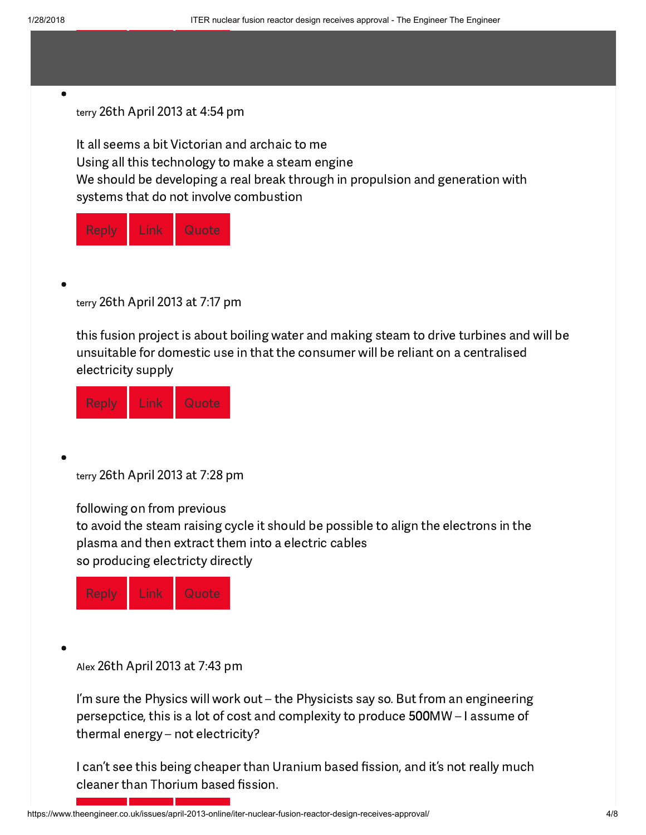#### <span id="page-3-0"></span> $\bullet$

#### terry 26th April 2013 at 4:54 pm

It all seems a bit Victorian and archaic to me Using all this technology to make a steam engine We should be developing a real break through in propulsion and generation with systems that do not involve combustion

<span id="page-3-1"></span>

|  | ×<br>I | I<br>I<br>÷<br>٥<br>ı | I)<br>ľ<br>ſ<br>Ī<br>ſ<br>ı |
|--|--------|-----------------------|-----------------------------|
|--|--------|-----------------------|-----------------------------|

terry 26th April 2013 at 7:17 pm

this fusion project is about boiling water and making steam to drive turbines and will be unsuitable for domestic use in that the consumer will be reliant on a centralised electricity supply

<span id="page-3-2"></span>[Reply](https://www.theengineer.co.uk/issues/april-2013-online/iter-nuclear-fusion-reactor-design-receives-approval/?replytocom=20911#respond) [Link](#page-3-1) Quote

terry 26th April 2013 at 7:28 pm

following on from previous

to avoid the steam raising cycle it should be possible to align the electrons in the plasma and then extract them into a electric cables so producing electricty directly

<span id="page-3-3"></span>

Alex 26th April 2013 at 7:43 pm

I'm sure the Physics will work out – the Physicists say so. But from an [engineering](https://adclick.g.doubleclick.net/pcs/click?xai=AKAOjsuY56du8GfUnI6Bmwwl6gTaxj3GuEWdzmTxZUWlH7ToQsQ73ij6VexGtFFt1oNgokmABbGUbBBHMJ1uLIFFXKVZ_wNI9aIG1cy0CDoeTzi8KyRFz3Xl4rzm1eEy78O6emNCH4xUzdF8nXfsVAUjXd-ktGVAGfe6otwy7MZDvTiRAGJZdUadQlLJlYr7Tx9jr8e20yopHRgcUfnSJZUN3-cHrpQwplVrY9IRB-ME4CosWF9uWr9u8q5WYwQk9TnQKpjP95DibAWJlkHOO9d0npeFCJk8Hcg&sig=Cg0ArKJSzIxx5n3ITwY7EAE&urlfix=1&adurl=https://www.afsrglobal.net/) [persepctice,](https://adclick.g.doubleclick.net/pcs/click?xai=AKAOjsuY56du8GfUnI6Bmwwl6gTaxj3GuEWdzmTxZUWlH7ToQsQ73ij6VexGtFFt1oNgokmABbGUbBBHMJ1uLIFFXKVZ_wNI9aIG1cy0CDoeTzi8KyRFz3Xl4rzm1eEy78O6emNCH4xUzdF8nXfsVAUjXd-ktGVAGfe6otwy7MZDvTiRAGJZdUadQlLJlYr7Tx9jr8e20yopHRgcUfnSJZUN3-cHrpQwplVrY9IRB-ME4CosWF9uWr9u8q5WYwQk9TnQKpjP95DibAWJlkHOO9d0npeFCJk8Hcg&sig=Cg0ArKJSzIxx5n3ITwY7EAE&urlfix=1&adurl=https://www.afsrglobal.net/) this is a lot of cost and complexity to produce 500MW – I assume of thermal energy – not electricity?

I can't see this being cheaper than Uranium based fission, and it's not really much cleaner than Thorium based fission.

https://www.theengineer.co.uk/issues/april-2013-online/iter-nuclear-fusion-reactor-design-receives-approval/ 4/8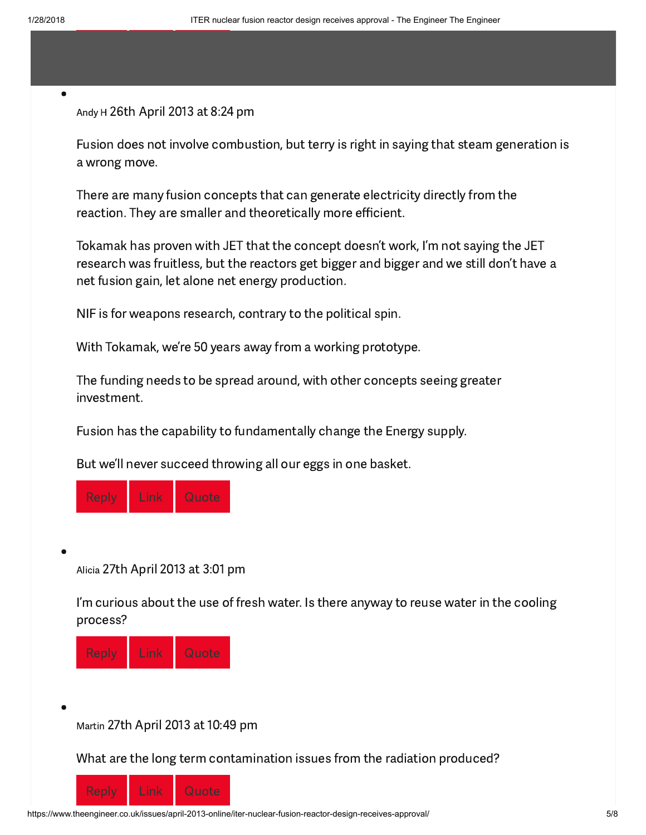<span id="page-4-0"></span> $\bullet$ 

### Andy H 26th April 2013 at 8:24 pm

Fusion does not involve combustion, but terry is right in saying that steam [generation](https://adclick.g.doubleclick.net/pcs/click?xai=AKAOjsuY56du8GfUnI6Bmwwl6gTaxj3GuEWdzmTxZUWlH7ToQsQ73ij6VexGtFFt1oNgokmABbGUbBBHMJ1uLIFFXKVZ_wNI9aIG1cy0CDoeTzi8KyRFz3Xl4rzm1eEy78O6emNCH4xUzdF8nXfsVAUjXd-ktGVAGfe6otwy7MZDvTiRAGJZdUadQlLJlYr7Tx9jr8e20yopHRgcUfnSJZUN3-cHrpQwplVrY9IRB-ME4CosWF9uWr9u8q5WYwQk9TnQKpjP95DibAWJlkHOO9d0npeFCJk8Hcg&sig=Cg0ArKJSzIxx5n3ITwY7EAE&urlfix=1&adurl=https://www.afsrglobal.net/) is a wrong move.

There are many fusion concepts that can generate electricity directly from the reaction. They are smaller and theoretically more efficient.

Tokamak has proven with JET that the concept doesn't work, I'm not saying the JET research was fruitless, but the reactors get bigger and bigger and we still don't have a net fusion gain, let alone net energy production.

NIF is for weapons research, contrary to the political spin.

With Tokamak, we're 50 years away from a working prototype.

The funding needs to be spread around, with other concepts seeing greater [investment.](https://adclick.g.doubleclick.net/pcs/click?xai=AKAOjsuY56du8GfUnI6Bmwwl6gTaxj3GuEWdzmTxZUWlH7ToQsQ73ij6VexGtFFt1oNgokmABbGUbBBHMJ1uLIFFXKVZ_wNI9aIG1cy0CDoeTzi8KyRFz3Xl4rzm1eEy78O6emNCH4xUzdF8nXfsVAUjXd-ktGVAGfe6otwy7MZDvTiRAGJZdUadQlLJlYr7Tx9jr8e20yopHRgcUfnSJZUN3-cHrpQwplVrY9IRB-ME4CosWF9uWr9u8q5WYwQk9TnQKpjP95DibAWJlkHOO9d0npeFCJk8Hcg&sig=Cg0ArKJSzIxx5n3ITwY7EAE&urlfix=1&adurl=https://www.afsrglobal.net/)

Fusion has the capability to fundamentally change the Energy supply.

But we'll never succeed throwing all our eggs in one basket.

<span id="page-4-1"></span>

Alicia 27th April 2013 at 3:01 pm

I'm curious about the use of fresh water. Is there anyway to reuse water in the cooling process?

<span id="page-4-2"></span>

Martin 27th April 2013 at 10:49 pm

What are the long term contamination issues from the radiation produced?

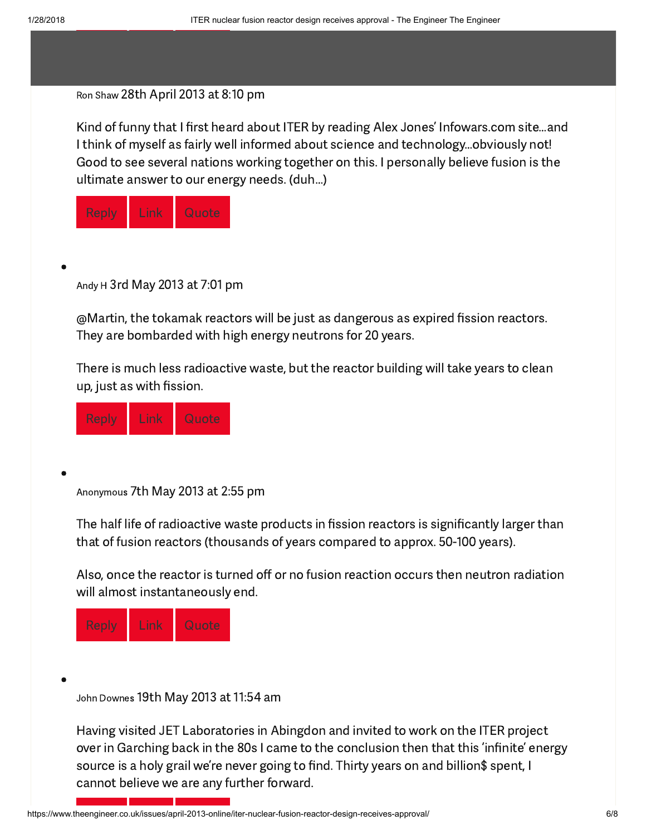#### <span id="page-5-0"></span>Ron Shaw 28th April 2013 at 8:10 pm

Kind of funny that I first heard about ITER by reading Alex Jones' Infowars.com site...and I think of myself as fairly well informed about science and tech[nology…obviously](https://adclick.g.doubleclick.net/pcs/click?xai=AKAOjsuY56du8GfUnI6Bmwwl6gTaxj3GuEWdzmTxZUWlH7ToQsQ73ij6VexGtFFt1oNgokmABbGUbBBHMJ1uLIFFXKVZ_wNI9aIG1cy0CDoeTzi8KyRFz3Xl4rzm1eEy78O6emNCH4xUzdF8nXfsVAUjXd-ktGVAGfe6otwy7MZDvTiRAGJZdUadQlLJlYr7Tx9jr8e20yopHRgcUfnSJZUN3-cHrpQwplVrY9IRB-ME4CosWF9uWr9u8q5WYwQk9TnQKpjP95DibAWJlkHOO9d0npeFCJk8Hcg&sig=Cg0ArKJSzIxx5n3ITwY7EAE&urlfix=1&adurl=https://www.afsrglobal.net/) not! Good to see several nations working together on this. I personally believe fusion is the ultimate answer to our energy needs. (duh…)

<span id="page-5-1"></span>

| ı<br>r.<br>ñ<br>I<br>v, | I<br>ı<br>I<br>I<br>I<br>ı<br>v | r<br>ċ<br>ı |
|-------------------------|---------------------------------|-------------|
|-------------------------|---------------------------------|-------------|

Andy H 3rd May 2013 at 7:01 pm

@Martin, the tokamak reactors will be just as dangerous as expired fission reactors. They are bombarded with high energy neutrons for 20 years.

There is much less radioactive waste, but the reactor building will take years to clean up, just as with fission.

<span id="page-5-2"></span>[Reply](https://www.theengineer.co.uk/issues/april-2013-online/iter-nuclear-fusion-reactor-design-receives-approval/?replytocom=20919#respond) [Link](#page-5-1) Quote

Anonymous 7th May 2013 at 2:55 pm

The half life of radioactive waste products in fission reactors is significantly larger than that of fusion reactors (thousands of years compared to approx. 50-100 years).

Also, once the reactor is turned off or no fusion reaction occurs then neutron radiation will almost [instantaneou](https://adclick.g.doubleclick.net/pcs/click?xai=AKAOjsuY56du8GfUnI6Bmwwl6gTaxj3GuEWdzmTxZUWlH7ToQsQ73ij6VexGtFFt1oNgokmABbGUbBBHMJ1uLIFFXKVZ_wNI9aIG1cy0CDoeTzi8KyRFz3Xl4rzm1eEy78O6emNCH4xUzdF8nXfsVAUjXd-ktGVAGfe6otwy7MZDvTiRAGJZdUadQlLJlYr7Tx9jr8e20yopHRgcUfnSJZUN3-cHrpQwplVrY9IRB-ME4CosWF9uWr9u8q5WYwQk9TnQKpjP95DibAWJlkHOO9d0npeFCJk8Hcg&sig=Cg0ArKJSzIxx5n3ITwY7EAE&urlfix=1&adurl=https://www.afsrglobal.net/)sly end.

<span id="page-5-3"></span>

John Downes 19th May 2013 at 11:54 am

Having visited JET Laboratories in Abingdon and invited to work on the ITER project over in Garching back in the 80s I came to the conclusion then that this 'infinite' energy source is a holy grail we're never going to find. Thirty years on and billion\$ spent, I cannot believe we are any further forward.

https://www.theengineer.co.uk/issues/april-2013-online/iter-nuclear-fusion-reactor-design-receives-approval/ 6/8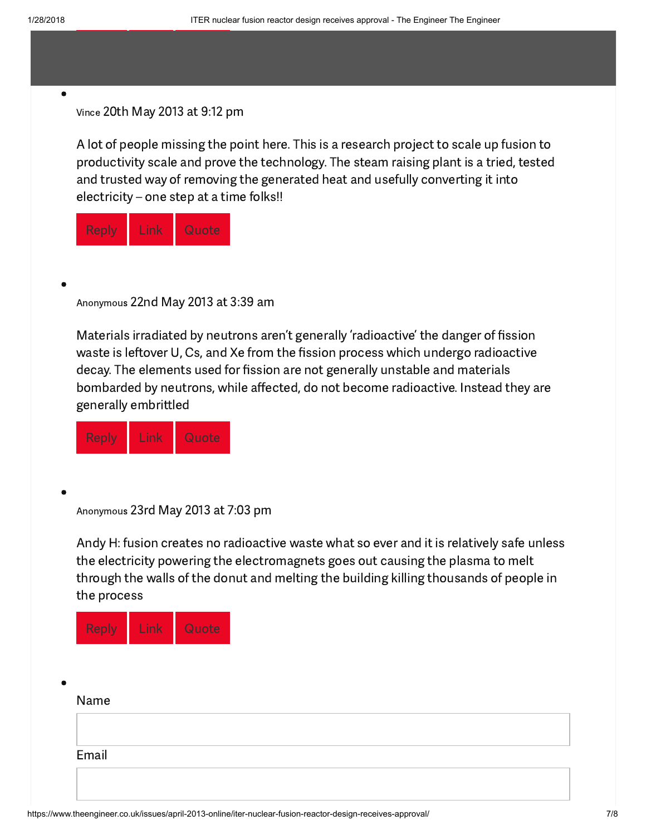#### <span id="page-6-0"></span> $\bullet$

#### Vince 20th May 2013 at 9:12 pm

A lot of people missing the point here. This is a research project to scale up fusion to productivity scale and prove the technology. The steam raising plant is a tried, tested and trusted way of removing the generated heat and usefully converting it into electricity – one step at a time folks!!

<span id="page-6-1"></span>

| Π<br>r<br>I<br>Ñ, | ċ.<br>I<br>I<br>h e<br>ı<br>I<br>v | ľ<br>D<br>ſ<br>¢<br>ı<br>ı |
|-------------------|------------------------------------|----------------------------|
|                   |                                    |                            |

Anonymous 22nd May 2013 at 3:39 am

Materials irradiated by neutrons aren't generally 'radioactive' the danger of fission waste is leftover U, Cs, and Xe from the fission process which undergo [radioactive](https://adclick.g.doubleclick.net/pcs/click?xai=AKAOjsuY56du8GfUnI6Bmwwl6gTaxj3GuEWdzmTxZUWlH7ToQsQ73ij6VexGtFFt1oNgokmABbGUbBBHMJ1uLIFFXKVZ_wNI9aIG1cy0CDoeTzi8KyRFz3Xl4rzm1eEy78O6emNCH4xUzdF8nXfsVAUjXd-ktGVAGfe6otwy7MZDvTiRAGJZdUadQlLJlYr7Tx9jr8e20yopHRgcUfnSJZUN3-cHrpQwplVrY9IRB-ME4CosWF9uWr9u8q5WYwQk9TnQKpjP95DibAWJlkHOO9d0npeFCJk8Hcg&sig=Cg0ArKJSzIxx5n3ITwY7EAE&urlfix=1&adurl=https://www.afsrglobal.net/) decay. The elements used for fission are not generally unstable and materials bombarded by neutrons, while affected, do not become radioactive. Instead they are generally embrittled

<span id="page-6-2"></span>

Anonymous 23rd May 2013 at 7:03 pm

Andy H: fusion creates no radioactive waste what so ever and it is relatively safe unless the electricity powering the electromagnets goes out causing the plasma to melt through the walls of the donut and melting the building killing thousands of people in the process